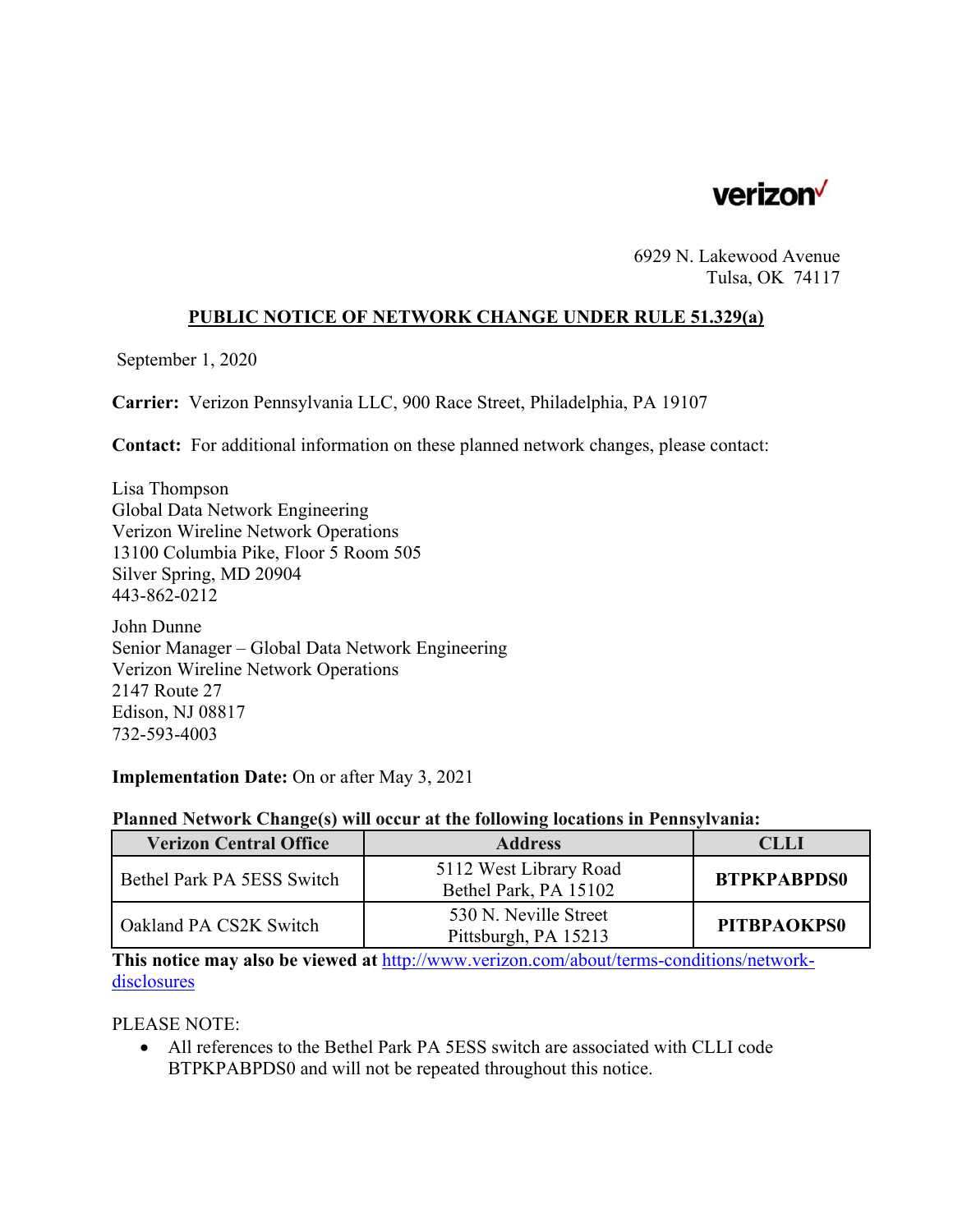

6929 N. Lakewood Avenue Tulsa, OK 74117

## **PUBLIC NOTICE OF NETWORK CHANGE UNDER RULE 51.329(a)**

September 1, 2020

**Carrier:** Verizon Pennsylvania LLC, 900 Race Street, Philadelphia, PA 19107

**Contact:** For additional information on these planned network changes, please contact:

Lisa Thompson Global Data Network Engineering Verizon Wireline Network Operations 13100 Columbia Pike, Floor 5 Room 505 Silver Spring, MD 20904 443-862-0212

John Dunne Senior Manager – Global Data Network Engineering Verizon Wireline Network Operations 2147 Route 27 Edison, NJ 08817 732-593-4003

### **Implementation Date:** On or after May 3, 2021

### **Planned Network Change(s) will occur at the following locations in Pennsylvania:**

| <b>Verizon Central Office</b> | <b>Address</b>                                  | <b>CLLI</b>        |
|-------------------------------|-------------------------------------------------|--------------------|
| Bethel Park PA 5ESS Switch    | 5112 West Library Road<br>Bethel Park, PA 15102 | <b>BTPKPABPDS0</b> |
| Oakland PA CS2K Switch        | 530 N. Neville Street<br>Pittsburgh, PA 15213   | <b>PITBPAOKPS0</b> |

**This notice may also be viewed at** http://www.verizon.com/about/terms-conditions/networkdisclosures

PLEASE NOTE:

 All references to the Bethel Park PA 5ESS switch are associated with CLLI code BTPKPABPDS0 and will not be repeated throughout this notice.